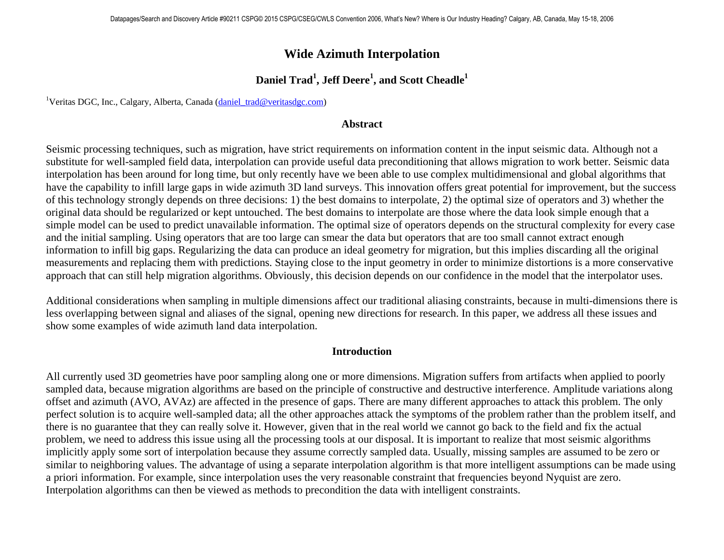# **Wide Azimuth Interpolation**

## **Daniel Trad1 , Jeff Deere<sup>1</sup> , and Scott Cheadle<sup>1</sup>**

<sup>1</sup>Veritas DGC, Inc., Calgary, Alberta, Canada (*daniel\_trad@veritasdgc.com*)

#### **Abstract**

Seismic processing techniques, such as migration, have strict requirements on information content in the input seismic data. Although not a substitute for well-sampled field data, interpolation can provide useful data preconditioning that allows migration to work better. Seismic data interpolation has been around for long time, but only recently have we been able to use complex multidimensional and global algorithms that have the capability to infill large gaps in wide azimuth 3D land surveys. This innovation offers great potential for improvement, but the success of this technology strongly depends on three decisions: 1) the best domains to interpolate, 2) the optimal size of operators and 3) whether the original data should be regularized or kept untouched. The best domains to interpolate are those where the data look simple enough that a simple model can be used to predict unavailable information. The optimal size of operators depends on the structural complexity for every case and the initial sampling. Using operators that are too large can smear the data but operators that are too small cannot extract enough information to infill big gaps. Regularizing the data can produce an ideal geometry for migration, but this implies discarding all the original measurements and replacing them with predictions. Staying close to the input geometry in order to minimize distortions is a more conservative approach that can still help migration algorithms. Obviously, this decision depends on our confidence in the model that the interpolator uses.

Additional considerations when sampling in multiple dimensions affect our traditional aliasing constraints, because in multi-dimensions there is less overlapping between signal and aliases of the signal, opening new directions for research. In this paper, we address all these issues and show some examples of wide azimuth land data interpolation.

#### **Introduction**

All currently used 3D geometries have poor sampling along one or more dimensions. Migration suffers from artifacts when applied to poorly sampled data, because migration algorithms are based on the principle of constructive and destructive interference. Amplitude variations along offset and azimuth (AVO, AVAz) are affected in the presence of gaps. There are many different approaches to attack this problem. The only perfect solution is to acquire well-sampled data; all the other approaches attack the symptoms of the problem rather than the problem itself, and there is no guarantee that they can really solve it. However, given that in the real world we cannot go back to the field and fix the actual problem, we need to address this issue using all the processing tools at our disposal. It is important to realize that most seismic algorithms implicitly apply some sort of interpolation because they assume correctly sampled data. Usually, missing samples are assumed to be zero or similar to neighboring values. The advantage of using a separate interpolation algorithm is that more intelligent assumptions can be made using a priori information. For example, since interpolation uses the very reasonable constraint that frequencies beyond Nyquist are zero. Interpolation algorithms can then be viewed as methods to precondition the data with intelligent constraints.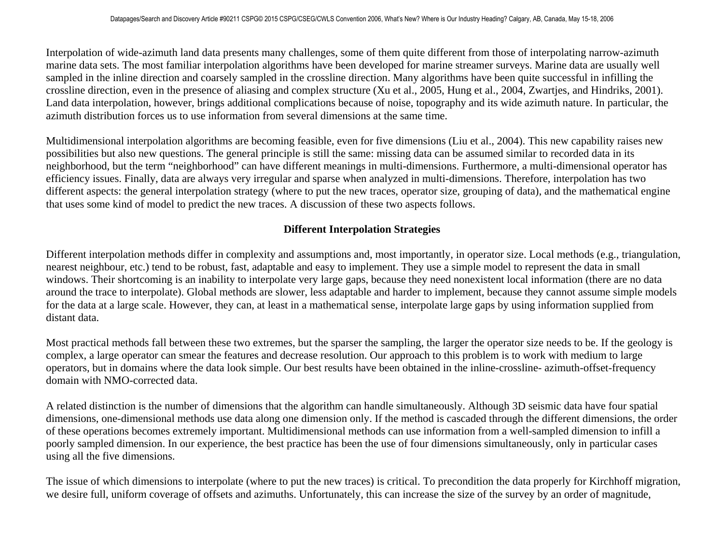Interpolation of wide-azimuth land data presents many challenges, some of them quite different from those of interpolating narrow-azimuth marine data sets. The most familiar interpolation algorithms have been developed for marine streamer surveys. Marine data are usually well sampled in the inline direction and coarsely sampled in the crossline direction. Many algorithms have been quite successful in infilling the crossline direction, even in the presence of aliasing and complex structure (Xu et al., 2005, Hung et al., 2004, Zwartjes, and Hindriks, 2001). Land data interpolation, however, brings additional complications because of noise, topography and its wide azimuth nature. In particular, the azimuth distribution forces us to use information from several dimensions at the same time.

Multidimensional interpolation algorithms are becoming feasible, even for five dimensions (Liu et al., 2004). This new capability raises new possibilities but also new questions. The general principle is still the same: missing data can be assumed similar to recorded data in its neighborhood, but the term "neighborhood" can have different meanings in multi-dimensions. Furthermore, a multi-dimensional operator has efficiency issues. Finally, data are always very irregular and sparse when analyzed in multi-dimensions. Therefore, interpolation has two different aspects: the general interpolation strategy (where to put the new traces, operator size, grouping of data), and the mathematical engine that uses some kind of model to predict the new traces. A discussion of these two aspects follows.

## **Different Interpolation Strategies**

Different interpolation methods differ in complexity and assumptions and, most importantly, in operator size. Local methods (e.g., triangulation, nearest neighbour, etc.) tend to be robust, fast, adaptable and easy to implement. They use a simple model to represent the data in small windows. Their shortcoming is an inability to interpolate very large gaps, because they need nonexistent local information (there are no data around the trace to interpolate). Global methods are slower, less adaptable and harder to implement, because they cannot assume simple models for the data at a large scale. However, they can, at least in a mathematical sense, interpolate large gaps by using information supplied from distant data.

Most practical methods fall between these two extremes, but the sparser the sampling, the larger the operator size needs to be. If the geology is complex, a large operator can smear the features and decrease resolution. Our approach to this problem is to work with medium to large operators, but in domains where the data look simple. Our best results have been obtained in the inline-crossline- azimuth-offset-frequency domain with NMO-corrected data.

A related distinction is the number of dimensions that the algorithm can handle simultaneously. Although 3D seismic data have four spatial dimensions, one-dimensional methods use data along one dimension only. If the method is cascaded through the different dimensions, the order of these operations becomes extremely important. Multidimensional methods can use information from a well-sampled dimension to infill a poorly sampled dimension. In our experience, the best practice has been the use of four dimensions simultaneously, only in particular cases using all the five dimensions.

The issue of which dimensions to interpolate (where to put the new traces) is critical. To precondition the data properly for Kirchhoff migration, we desire full, uniform coverage of offsets and azimuths. Unfortunately, this can increase the size of the survey by an order of magnitude,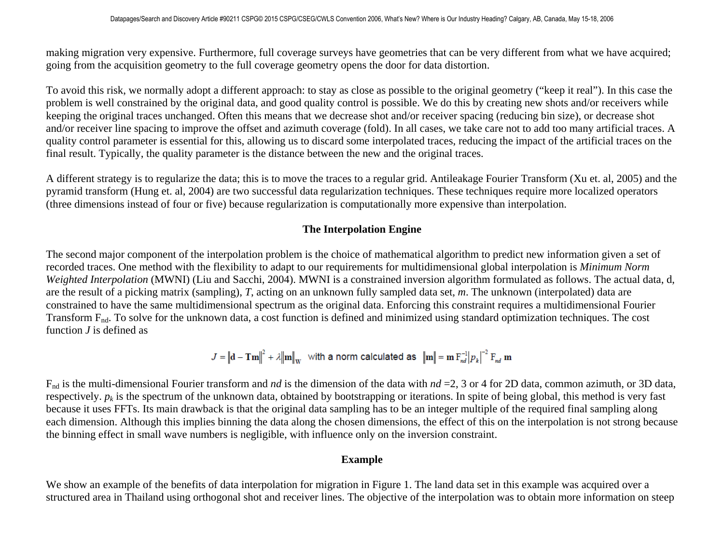making migration very expensive. Furthermore, full coverage surveys have geometries that can be very different from what we have acquired; going from the acquisition geometry to the full coverage geometry opens the door for data distortion.

To avoid this risk, we normally adopt a different approach: to stay as close as possible to the original geometry ("keep it real"). In this case the problem is well constrained by the original data, and good quality control is possible. We do this by creating new shots and/or receivers while keeping the original traces unchanged. Often this means that we decrease shot and/or receiver spacing (reducing bin size), or decrease shot and/or receiver line spacing to improve the offset and azimuth coverage (fold). In all cases, we take care not to add too many artificial traces. A quality control parameter is essential for this, allowing us to discard some interpolated traces, reducing the impact of the artificial traces on the final result. Typically, the quality parameter is the distance between the new and the original traces.

A different strategy is to regularize the data; this is to move the traces to a regular grid. Antileakage Fourier Transform (Xu et. al, 2005) and the pyramid transform (Hung et. al, 2004) are two successful data regularization techniques. These techniques require more localized operators (three dimensions instead of four or five) because regularization is computationally more expensive than interpolation.

#### **The Interpolation Engine**

The second major component of the interpolation problem is the choice of mathematical algorithm to predict new information given a set of recorded traces. One method with the flexibility to adapt to our requirements for multidimensional global interpolation is *Minimum Norm Weighted Interpolation* (MWNI) (Liu and Sacchi, 2004). MWNI is a constrained inversion algorithm formulated as follows. The actual data, d, are the result of a picking matrix (sampling), *T*, acting on an unknown fully sampled data set, *m*. The unknown (interpolated) data are constrained to have the same multidimensional spectrum as the original data. Enforcing this constraint requires a multidimensional Fourier Transform F<sub>nd</sub>. To solve for the unknown data, a cost function is defined and minimized using standard optimization techniques. The cost function *J* is defined as

$$
J = \left\| \mathbf{d} - \mathbf{Tm} \right\|^2 + \lambda \left\| \mathbf{m} \right\|_{\mathbf{W}} \quad \text{with a norm calculated as} \quad \left\| \mathbf{m} \right\| = \mathbf{m} \, \mathbf{F}_{nd}^{-1} \left| p_k \right|^{-2} \mathbf{F}_{nd} \, \mathbf{m}
$$

Fnd is the multi-dimensional Fourier transform and *nd* is the dimension of the data with *nd* =2, 3 or 4 for 2D data, common azimuth, or 3D data, respectively.  $p_k$  is the spectrum of the unknown data, obtained by bootstrapping or iterations. In spite of being global, this method is very fast because it uses FFTs. Its main drawback is that the original data sampling has to be an integer multiple of the required final sampling along each dimension. Although this implies binning the data along the chosen dimensions, the effect of this on the interpolation is not strong because the binning effect in small wave numbers is negligible, with influence only on the inversion constraint.

#### **Example**

We show an example of the benefits of data interpolation for migration in Figure 1. The land data set in this example was acquired over a structured area in Thailand using orthogonal shot and receiver lines. The objective of the interpolation was to obtain more information on steep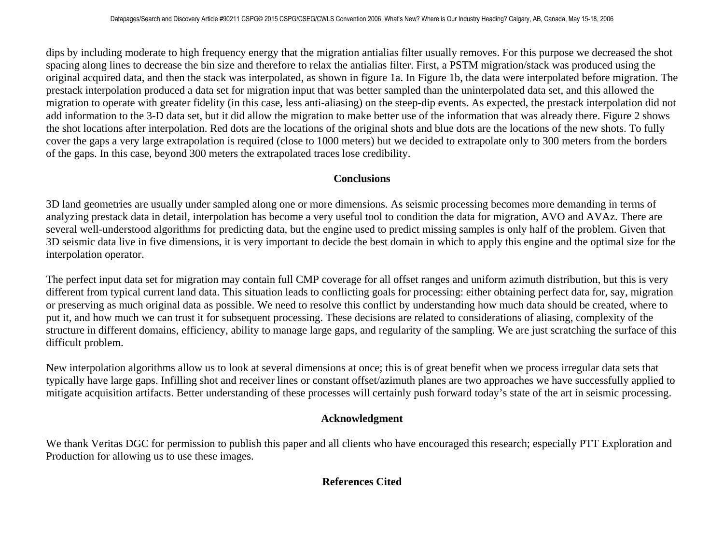dips by including moderate to high frequency energy that the migration antialias filter usually removes. For this purpose we decreased the shot spacing along lines to decrease the bin size and therefore to relax the antialias filter. First, a PSTM migration/stack was produced using the original acquired data, and then the stack was interpolated, as shown in figure 1a. In Figure 1b, the data were interpolated before migration. The prestack interpolation produced a data set for migration input that was better sampled than the uninterpolated data set, and this allowed the migration to operate with greater fidelity (in this case, less anti-aliasing) on the steep-dip events. As expected, the prestack interpolation did not add information to the 3-D data set, but it did allow the migration to make better use of the information that was already there. Figure 2 shows the shot locations after interpolation. Red dots are the locations of the original shots and blue dots are the locations of the new shots. To fully cover the gaps a very large extrapolation is required (close to 1000 meters) but we decided to extrapolate only to 300 meters from the borders of the gaps. In this case, beyond 300 meters the extrapolated traces lose credibility.

#### **Conclusions**

3D land geometries are usually under sampled along one or more dimensions. As seismic processing becomes more demanding in terms of analyzing prestack data in detail, interpolation has become a very useful tool to condition the data for migration, AVO and AVAz. There are several well-understood algorithms for predicting data, but the engine used to predict missing samples is only half of the problem. Given that 3D seismic data live in five dimensions, it is very important to decide the best domain in which to apply this engine and the optimal size for the interpolation operator.

The perfect input data set for migration may contain full CMP coverage for all offset ranges and uniform azimuth distribution, but this is very different from typical current land data. This situation leads to conflicting goals for processing: either obtaining perfect data for, say, migration or preserving as much original data as possible. We need to resolve this conflict by understanding how much data should be created, where to put it, and how much we can trust it for subsequent processing. These decisions are related to considerations of aliasing, complexity of the structure in different domains, efficiency, ability to manage large gaps, and regularity of the sampling. We are just scratching the surface of this difficult problem.

New interpolation algorithms allow us to look at several dimensions at once; this is of great benefit when we process irregular data sets that typically have large gaps. Infilling shot and receiver lines or constant offset/azimuth planes are two approaches we have successfully applied to mitigate acquisition artifacts. Better understanding of these processes will certainly push forward today's state of the art in seismic processing.

## **Acknowledgment**

We thank Veritas DGC for permission to publish this paper and all clients who have encouraged this research; especially PTT Exploration and Production for allowing us to use these images.

#### **References Cited**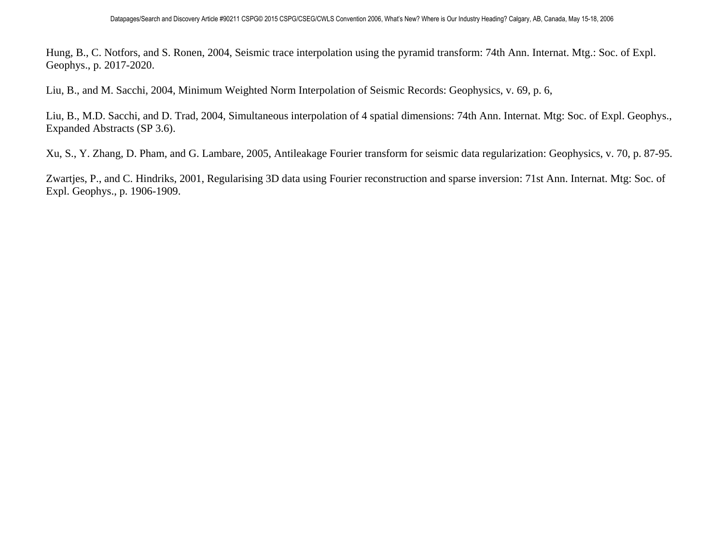Hung, B., C. Notfors, and S. Ronen, 2004, Seismic trace interpolation using the pyramid transform: 74th Ann. Internat. Mtg.: Soc. of Expl. Geophys., p. 2017-2020.

Liu, B., and M. Sacchi, 2004, Minimum Weighted Norm Interpolation of Seismic Records: Geophysics, v. 69, p. 6,

Liu, B., M.D. Sacchi, and D. Trad, 2004, Simultaneous interpolation of 4 spatial dimensions: 74th Ann. Internat. Mtg: Soc. of Expl. Geophys., Expanded Abstracts (SP 3.6).

Xu, S., Y. Zhang, D. Pham, and G. Lambare, 2005, Antileakage Fourier transform for seismic data regularization: Geophysics, v. 70, p. 87-95.

Zwartjes, P., and C. Hindriks, 2001, Regularising 3D data using Fourier reconstruction and sparse inversion: 71st Ann. Internat. Mtg: Soc. of Expl. Geophys., p. 1906-1909.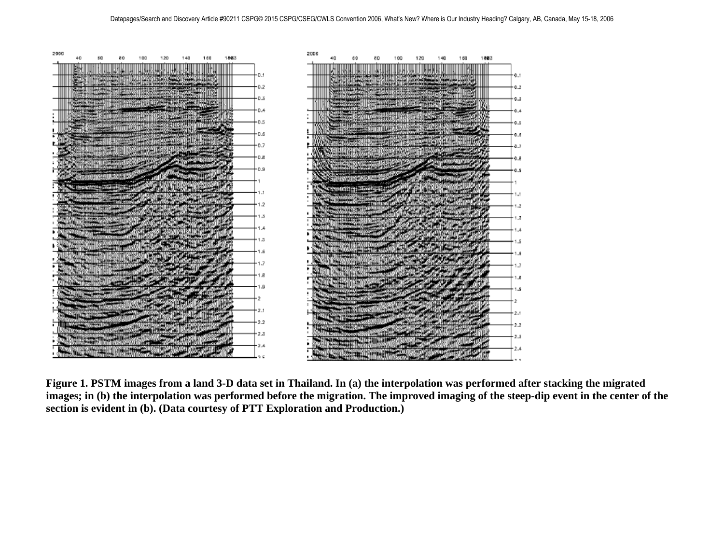

**Figure 1. PSTM images from a land 3-D data set in Thailand. In (a) the interpolation was performed after stacking the migrated images; in (b) the interpolation was performed before the migration. The improved imaging of the steep-dip event in the center of the section is evident in (b). (Data courtesy of PTT Exploration and Production.)**